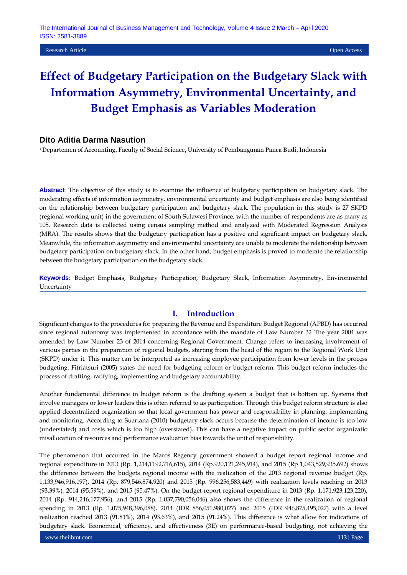# **Effect of Budgetary Participation on the Budgetary Slack with Information Asymmetry, Environmental Uncertainty, and Budget Emphasis as Variables Moderation**

# **Dito Aditia Darma Nasution**

<sup>1</sup> Departemen of Accounting, Faculty of Social Science, University of Pembangunan Panca Budi, Indonesia

**Abstract**: The objective of this study is to examine the influence of budgetary participation on budgetary slack. The moderating effects of information asymmetry, environmental uncertainty and budget emphasis are also being identified on the relationship between budgetary participation and budgetary slack. The population in this study is 27 SKPD (regional working unit) in the government of South Sulawesi Province, with the number of respondents are as many as 105. Research data is collected using census sampling method and analyzed with Moderated Regression Analysis (MRA). The results shows that the budgetary participation has a positive and significant impact on budgetary slack. Meanwhile, the information asymmetry and environmental uncertainty are unable to moderate the relationship between budgetary participation on budgetary slack. In the other hand, budget emphasis is proved to moderate the relationship between the budgetary participation on the budgetary slack.

**Keywords:** Budget Emphasis, Budgetary Participation, Budgetary Slack, Information Asymmetry, Environmental **Uncertainty** 

# **I. Introduction**

Significant changes to the procedures for preparing the Revenue and Expenditure Budget Regional (APBD) has occurred since regional autonomy was implemented in accordance with the mandate of Law Number 32 The year 2004 was amended by Law Number 23 of 2014 concerning Regional Government. Change refers to increasing involvement of various parties in the preparation of regional budgets, starting from the head of the region to the Regional Work Unit (SKPD) under it. This matter can be interpreted as increasing employee participation from lower levels in the process budgeting. Fitriatsuri (2005) states the need for budgeting reform or budget reform. This budget reform includes the process of drafting, ratifying, implementing and budgetary accountability.

Another fundamental difference in budget reform is the drafting system a budget that is bottom up. Systems that involve managers or lower leaders this is often referred to as participation. Through this budget reform structure is also applied decentralized organization so that local government has power and responsibility in planning, implementing and monitoring. According to Suartana (2010) budgetary slack occurs because the determination of income is too low (understated) and costs which is too high (overstated). This can have a negative impact on public sector organizatio misallocation of resources and performance evaluation bias towards the unit of responsibility.

The phenomenon that occurred in the Maros Regency government showed a budget report regional income and regional expenditure in 2013 (Rp. 1,214,1192,716,615), 2014 (Rp.920,121,245,914), and 2015 (Rp 1,043,529,935,692) shows the difference between the budgets regional income with the realization of the 2013 regional revenue budget (Rp. 1,133,946,916,197), 2014 (Rp. 879,546,874,920) and 2015 (Rp. 996,256,583,449) with realization levels reaching in 2013 (93.39%), 2014 (95.59%), and 2015 (95.47%). On the budget report regional expenditure in 2013 (Rp. 1,171,923,123,220), 2014 (Rp. 914,246,177,956), and 2015 (Rp. 1,037,790,056,046) also shows the difference in the realization of regional spending in 2013 (Rp. 1,075,948,396,088), 2014 (IDR 856,051,980,027) and 2015 (IDR 946,875,495,027) with a level realization reached 2013 (91.81%), 2014 (93.63%), and 2015 (91.24%). This difference is what allow for indications of budgetary slack. Economical, efficiency, and effectiveness (3E) on performance-based budgeting, not achieving the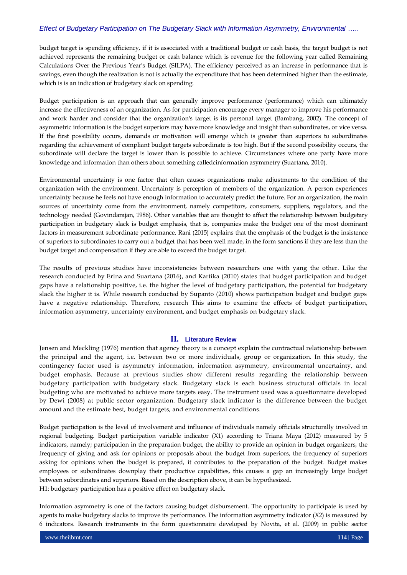budget target is spending efficiency, if it is associated with a traditional budget or cash basis, the target budget is not achieved represents the remaining budget or cash balance which is revenue for the following year called Remaining Calculations Over the Previous Year's Budget (SILPA). The efficiency perceived as an increase in performance that is savings, even though the realization is not is actually the expenditure that has been determined higher than the estimate, which is is an indication of budgetary slack on spending.

Budget participation is an approach that can generally improve performance (performance) which can ultimately increase the effectiveness of an organization. As for participation encourage every manager to improve his performance and work harder and consider that the organization's target is its personal target (Bambang, 2002). The concept of asymmetric information is the budget superiors may have more knowledge and insight than subordinates, or vice versa. If the first possibility occurs, demands or motivation will emerge which is greater than superiors to subordinates regarding the achievement of compliant budget targets subordinate is too high. But if the second possibility occurs, the subordinate will declare the target is lower than is possible to achieve. Circumstances where one party have more knowledge and information than others about something calledcinformation asymmetry (Suartana, 2010).

Environmental uncertainty is one factor that often causes organizations make adjustments to the condition of the organization with the environment. Uncertainty is perception of members of the organization. A person experiences uncertainty because he feels not have enough information to accurately predict the future. For an organization, the main sources of uncertainty come from the environment, namely competitors, consumers, suppliers, regulators, and the technology needed (Govindarajan, 1986). Other variables that are thought to affect the relationship between budgetary participation in budgetary slack is budget emphasis, that is, companies make the budget one of the most dominant factors in measurement subordinate performance. Rani (2015) explains that the emphasis of the budget is the insistence of superiors to subordinates to carry out a budget that has been well made, in the form sanctions if they are less than the budget target and compensation if they are able to exceed the budget target.

The results of previous studies have inconsistencies between researchers one with yang the other. Like the research conducted by Erina and Suartana (2016), and Kartika (2010) states that budget participation and budget gaps have a relationship positive, i.e. the higher the level of budgetary participation, the potential for budgetary slack the higher it is. While research conducted by Supanto (2010) shows participation budget and budget gaps have a negative relationship. Therefore, research This aims to examine the effects of budget participation, information asymmetry, uncertainty environment, and budget emphasis on budgetary slack.

#### **II. Literature Review**

Jensen and Meckling (1976) mention that agency theory is a concept explain the contractual relationship between the principal and the agent, i.e. between two or more individuals, group or organization. In this study, the contingency factor used is asymmetry information, information asymmetry, environmental uncertainty, and budget emphasis. Because at previous studies show different results regarding the relationship between budgetary participation with budgetary slack. Budgetary slack is each business structural officials in local budgeting who are motivated to achieve more targets easy. The instrument used was a questionnaire developed by Dewi (2008) at public sector organization. Budgetary slack indicator is the difference between the budget amount and the estimate best, budget targets, and environmental conditions.

Budget participation is the level of involvement and influence of individuals namely officials structurally involved in regional budgeting. Budget participation variable indicator (X1) according to Triana Maya (2012) measured by 5 indicators, namely; participation in the preparation budget, the ability to provide an opinion in budget organizers, the frequency of giving and ask for opinions or proposals about the budget from superiors, the frequency of superiors asking for opinions when the budget is prepared, it contributes to the preparation of the budget. Budget makes employees or subordinates downplay their productive capabilities, this causes a gap an increasingly large budget between subordinates and superiors. Based on the description above, it can be hypothesized. H1: budgetary participation has a positive effect on budgetary slack.

Information asymmetry is one of the factors causing budget disbursement. The opportunity to participate is used by agents to make budgetary slacks to improve its performance. The information asymmetry indicator (X2) is measured by 6 indicators. Research instruments in the form questionnaire developed by Novita, et al. (2009) in public sector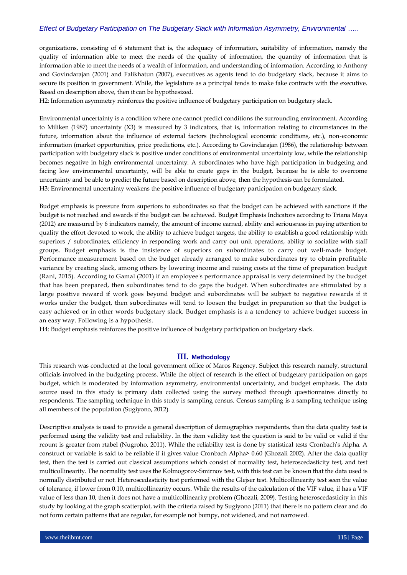organizations, consisting of 6 statement that is, the adequacy of information, suitability of information, namely the quality of information able to meet the needs of the quality of information, the quantity of information that is information able to meet the needs of a wealth of information, and understanding of information. According to Anthony and Govindarajan (2001) and Falikhatun (2007), executives as agents tend to do budgetary slack, because it aims to secure its position in government. While, the legislature as a principal tends to make fake contracts with the executive. Based on description above, then it can be hypothesized.

H2: Information asymmetry reinforces the positive influence of budgetary participation on budgetary slack.

Environmental uncertainty is a condition where one cannot predict conditions the surrounding environment. According to Miliken (1987) uncertainty (X3) is measured by 3 indicators, that is, information relating to circumstances in the future, information about the influence of external factors (technological economic conditions, etc.), non-economic information (market opportunities, price predictions, etc.). According to Govindarajan (1986), the relationship between participation with budgetary slack is positive under conditions of environmental uncertainty low, while the relationship becomes negative in high environmental uncertainty. A subordinates who have high participation in budgeting and facing low environmental uncertainty, will be able to create gaps in the budget, because he is able to overcome uncertainty and be able to predict the future based on description above, then the hypothesis can be formulated. H3: Environmental uncertainty weakens the positive influence of budgetary participation on budgetary slack.

Budget emphasis is pressure from superiors to subordinates so that the budget can be achieved with sanctions if the budget is not reached and awards if the budget can be achieved. Budget Emphasis Indicators according to Triana Maya (2012) are measured by 6 indicators namely, the amount of income earned, ability and seriousness in paying attention to quality the effort devoted to work, the ability to achieve budget targets, the ability to establish a good relationship with superiors / subordinates, efficiency in responding work and carry out unit operations, ability to socialize with staff groups. Budget emphasis is the insistence of superiors on subordinates to carry out well-made budget. Performance measurement based on the budget already arranged to make subordinates try to obtain profitable variance by creating slack, among others by lowering income and raising costs at the time of preparation budget (Rani, 2015). According to Gamal (2001) if an employee's performance appraisal is very determined by the budget that has been prepared, then subordinates tend to do gaps the budget. When subordinates are stimulated by a large positive reward if work goes beyond budget and subordinates will be subject to negative rewards if it works under the budget, then subordinates will tend to loosen the budget in preparation so that the budget is easy achieved or in other words budgetary slack. Budget emphasis is a a tendency to achieve budget success in an easy way. Following is a hypothesis.

H4: Budget emphasis reinforces the positive influence of budgetary participation on budgetary slack.

#### **III. Methodology**

This research was conducted at the local government office of Maros Regency. Subject this research namely, structural officials involved in the budgeting process. While the object of research is the effect of budgetary participation on gaps budget, which is moderated by information asymmetry, environmental uncertainty, and budget emphasis. The data source used in this study is primary data collected using the survey method through questionnaires directly to respondents. The sampling technique in this study is sampling census. Census sampling is a sampling technique using all members of the population (Sugiyono, 2012).

Descriptive analysis is used to provide a general description of demographics respondents, then the data quality test is performed using the validity test and reliability. In the item validity test the question is said to be valid or valid if the rcount is greater from rtabel (Nugroho, 2011). While the reliability test is done by statistical tests Cronbach's Alpha. A construct or variable is said to be reliable if it gives value Cronbach Alpha> 0.60 (Ghozali 2002). After the data quality test, then the test is carried out classical assumptions which consist of normality test, heteroscedasticity test, and test multicollinearity. The normality test uses the Kolmogorov-Smirnov test, with this test can be known that the data used is normally distributed or not. Heteroscedasticity test performed with the Glejser test. Multicollinearity test seen the value of tolerance, if lower from 0.10, multicollinearity occurs. While the results of the calculation of the VIF value, if has a VIF value of less than 10, then it does not have a multicollinearity problem (Ghozali, 2009). Testing heteroscedasticity in this study by looking at the graph scatterplot, with the criteria raised by Sugiyono (2011) that there is no pattern clear and do not form certain patterns that are regular, for example not bumpy, not widened, and not narrowed.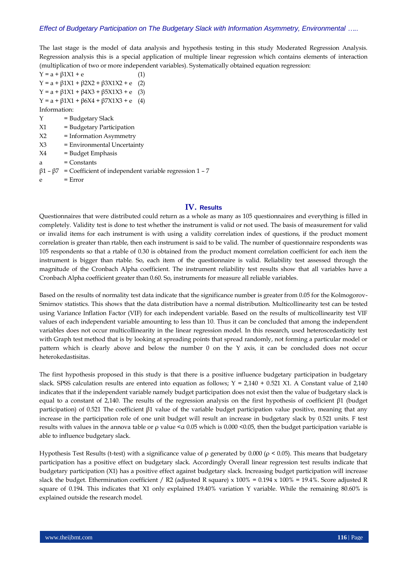The last stage is the model of data analysis and hypothesis testing in this study Moderated Regression Analysis. Regression analysis this is a special application of multiple linear regression which contains elements of interaction (multiplication of two or more independent variables). Systematically obtained equation regression:

 $Y = a + \beta 1X1 + e$  (1)  $Y = a + β1X1 + β2X2 + β3X1X2 + e$  (2)  $Y = a + β1X1 + β4X3 + β5X1X3 + e$  (3)  $Y = a + β1X1 + β6X4 + β7X1X3 + e$  (4) Information:  $Y =$ Budgetary Slack X1 = Budgetary Participation X2 = Information Asymmetry X3 = Environmental Uncertainty X4 = Budget Emphasis  $a =$  Constants  $β1 - β7$  = Coefficient of independent variable regression 1 - 7  $e = Error$ 

## **IV. Results**

Questionnaires that were distributed could return as a whole as many as 105 questionnaires and everything is filled in completely. Validity test is done to test whether the instrument is valid or not used. The basis of measurement for valid or invalid items for each instrument is with using a validity correlation index of questions, if the product moment correlation is greater than rtable, then each instrument is said to be valid. The number of questionnaire respondents was 105 respondents so that a rtable of 0.30 is obtained from the product moment correlation coefficient for each item the instrument is bigger than rtable. So, each item of the questionnaire is valid. Reliability test assessed through the magnitude of the Cronbach Alpha coefficient. The instrument reliability test results show that all variables have a Cronbach Alpha coefficient greater than 0.60. So, instruments for measure all reliable variables.

Based on the results of normality test data indicate that the significance number is greater from 0.05 for the Kolmogorov-Smirnov statistics. This shows that the data distribution have a normal distribution. Multicollinearity test can be tested using Variance Inflation Factor (VIF) for each independent variable. Based on the results of multicollinearity test VIF values of each independent variable amounting to less than 10. Thus it can be concluded that among the independent variables does not occur multicollinearity in the linear regression model. In this research, used heteroscedasticity test with Graph test method that is by looking at spreading points that spread randomly, not forming a particular model or pattern which is clearly above and below the number 0 on the Y axis, it can be concluded does not occur heterokedastisitas.

The first hypothesis proposed in this study is that there is a positive influence budgetary participation in budgetary slack. SPSS calculation results are entered into equation as follows;  $Y = 2,140 + 0.521$  X1. A Constant value of 2,140 indicates that if the independent variable namely budget participation does not exist then the value of budgetary slack is equal to a constant of 2,140. The results of the regression analysis on the first hypothesis of coefficient β1 (budget participation) of 0.521 The coefficient β1 value of the variable budget participation value positive, meaning that any increase in the participation role of one unit budget will result an increase in budgetary slack by 0.521 units. F test results with values in the annova table or  $\rho$  value  $\leq \alpha$  0.05 which is 0.000  $\leq$ 0.05, then the budget participation variable is able to influence budgetary slack.

Hypothesis Test Results (t-test) with a significance value of ρ generated by 0.000 ( $\rho$  < 0.05). This means that budgetary participation has a positive effect on budgetary slack. Accordingly Overall linear regression test results indicate that budgetary participation (X1) has a positive effect against budgetary slack. Increasing budget participation will increase slack the budget. Ethermination coefficient / R2 (adjusted R square) x  $100\% = 0.194 \times 100\% = 19.4\%$ . Score adjusted R square of 0.194. This indicates that X1 only explained 19.40% variation Y variable. While the remaining 80.60% is explained outside the research model.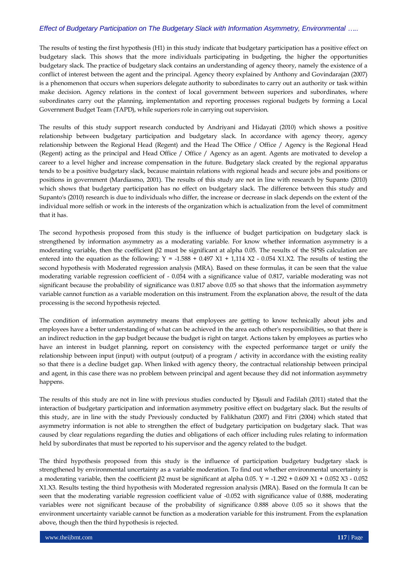The results of testing the first hypothesis (H1) in this study indicate that budgetary participation has a positive effect on budgetary slack. This shows that the more individuals participating in budgeting, the higher the opportunities budgetary slack. The practice of budgetary slack contains an understanding of agency theory, namely the existence of a conflict of interest between the agent and the principal. Agency theory explained by Anthony and Govindarajan (2007) is a phenomenon that occurs when superiors delegate authority to subordinates to carry out an authority or task within make decision. Agency relations in the context of local government between superiors and subordinates, where subordinates carry out the planning, implementation and reporting processes regional budgets by forming a Local Government Budget Team (TAPD), while superiors role in carrying out supervision.

The results of this study support research conducted by Andriyani and Hidayati (2010) which shows a positive relationship between budgetary participation and budgetary slack. In accordance with agency theory, agency relationship between the Regional Head (Regent) and the Head The Office / Office / Agency is the Regional Head (Regent) acting as the principal and Head Office / Office / Agency as an agent. Agents are motivated to develop a career to a level higher and increase compensation in the future. Budgetary slack created by the regional apparatus tends to be a positive budgetary slack, because maintain relations with regional heads and secure jobs and positions or positions in government (Mardiasmo, 2001). The results of this study are not in line with research by Supanto (2010) which shows that budgetary participation has no effect on budgetary slack. The difference between this study and Supanto's (2010) research is due to individuals who differ, the increase or decrease in slack depends on the extent of the individual more selfish or work in the interests of the organization which is actualization from the level of commitment that it has.

The second hypothesis proposed from this study is the influence of budget participation on budgetary slack is strengthened by information asymmetry as a moderating variable. For know whether information asymmetry is a moderating variable, then the coefficient β2 must be significant at alpha 0.05. The results of the SPSS calculation are entered into the equation as the following:  $Y = -1.588 + 0.497 \text{ X1} + 1.114 \text{ X2} - 0.054 \text{ X1.X2}$ . The results of testing the second hypothesis with Moderated regression analysis (MRA). Based on these formulas, it can be seen that the value moderating variable regression coefficient of - 0.054 with a significance value of 0.817, variable moderating was not significant because the probability of significance was 0.817 above 0.05 so that shows that the information asymmetry variable cannot function as a variable moderation on this instrument. From the explanation above, the result of the data processing is the second hypothesis rejected.

The condition of information asymmetry means that employees are getting to know technically about jobs and employees have a better understanding of what can be achieved in the area each other's responsibilities, so that there is an indirect reduction in the gap budget because the budget is right on target. Actions taken by employees as parties who have an interest in budget planning, report on consistency with the expected performance target or unify the relationship between input (input) with output (output) of a program / activity in accordance with the existing reality so that there is a decline budget gap. When linked with agency theory, the contractual relationship between principal and agent, in this case there was no problem between principal and agent because they did not information asymmetry happens.

The results of this study are not in line with previous studies conducted by Djasuli and Fadilah (2011) stated that the interaction of budgetary participation and information asymmetry positive effect on budgetary slack. But the results of this study, are in line with the study Previously conducted by Falikhatun (2007) and Fitri (2004) which stated that asymmetry information is not able to strengthen the effect of budgetary participation on budgetary slack. That was caused by clear regulations regarding the duties and obligations of each officer including rules relating to information held by subordinates that must be reported to his supervisor and the agency related to the budget.

The third hypothesis proposed from this study is the influence of participation budgetary budgetary slack is strengthened by environmental uncertainty as a variable moderation. To find out whether environmental uncertainty is a moderating variable, then the coefficient β2 must be significant at alpha 0.05.  $Y = -1.292 + 0.609 X1 + 0.052 X3 - 0.052$ X1.X3. Results testing the third hypothesis with Moderated regression analysis (MRA). Based on the formula It can be seen that the moderating variable regression coefficient value of -0.052 with significance value of 0.888, moderating variables were not significant because of the probability of significance 0.888 above 0.05 so it shows that the environment uncertainty variable cannot be function as a moderation variable for this instrument. From the explanation above, though then the third hypothesis is rejected.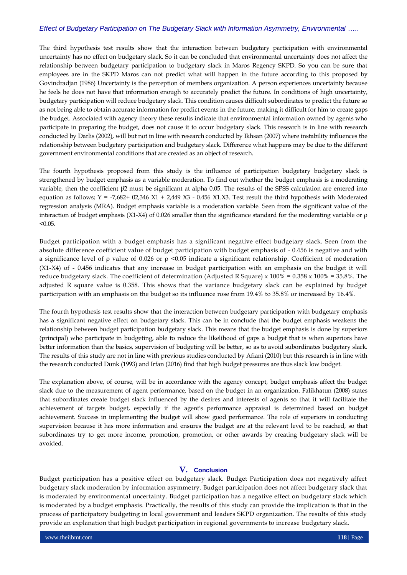The third hypothesis test results show that the interaction between budgetary participation with environmental uncertainty has no effect on budgetary slack. So it can be concluded that environmental uncertainty does not affect the relationship between budgetary participation to budgetary slack in Maros Regency SKPD. So you can be sure that employees are in the SKPD Maros can not predict what will happen in the future according to this proposed by Govindradjan (1986) Uncertainty is the perception of members organization. A person experiences uncertainty because he feels he does not have that information enough to accurately predict the future. In conditions of high uncertainty, budgetary participation will reduce budgetary slack. This condition causes difficult subordinates to predict the future so as not being able to obtain accurate information for predict events in the future, making it difficult for him to create gaps the budget. Associated with agency theory these results indicate that environmental information owned by agents who participate in preparing the budget, does not cause it to occur budgetary slack. This research is in line with research conducted by Darlis (2002), will but not in line with research conducted by Ikhsan (2007) where instability influences the relationship between budgetary participation and budgetary slack. Difference what happens may be due to the different government environmental conditions that are created as an object of research.

The fourth hypothesis proposed from this study is the influence of participation budgetary budgetary slack is strengthened by budget emphasis as a variable moderation. To find out whether the budget emphasis is a moderating variable, then the coefficient β2 must be significant at alpha 0.05. The results of the SPSS calculation are entered into equation as follows;  $Y = -7,682+02,346 \times 1 + 2,449 \times 3 - 0.456 \times 1.83$ . Test result the third hypothesis with Moderated regression analysis (MRA). Budget emphasis variable is a moderation variable. Seen from the significant value of the interaction of budget emphasis (X1-X4) of 0.026 smaller than the significance standard for the moderating variable or ρ  $< 0.05.$ 

Budget participation with a budget emphasis has a significant negative effect budgetary slack. Seen from the absolute difference coefficient value of budget participation with budget emphasis of - 0.456 is negative and with a significance level of ρ value of 0.026 or ρ <0.05 indicate a significant relationship. Coefficient of moderation (X1-X4) of - 0.456 indicates that any increase in budget participation with an emphasis on the budget it will reduce budgetary slack. The coefficient of determination (Adjusted R Square) x  $100\% = 0.358 \times 100\% = 35.8\%$ . The adjusted R square value is 0.358. This shows that the variance budgetary slack can be explained by budget participation with an emphasis on the budget so its influence rose from 19.4% to 35.8% or increased by 16.4%.

The fourth hypothesis test results show that the interaction between budgetary participation with budgetary emphasis has a significant negative effect on budgetary slack. This can be in conclude that the budget emphasis weakens the relationship between budget participation budgetary slack. This means that the budget emphasis is done by superiors (principal) who participate in budgeting, able to reduce the likelihood of gaps a budget that is when superiors have better information than the basics, supervision of budgeting will be better, so as to avoid subordinates budgetary slack. The results of this study are not in line with previous studies conducted by Afiani (2010) but this research is in line with the research conducted Dunk (1993) and Irfan (2016) find that high budget pressures are thus slack low budget.

The explanation above, of course, will be in accordance with the agency concept, budget emphasis affect the budget slack due to the measurement of agent performance, based on the budget in an organization. Falikhatun (2008) states that subordinates create budget slack influenced by the desires and interests of agents so that it will facilitate the achievement of targets budget, especially if the agent's performance appraisal is determined based on budget achievement. Success in implementing the budget will show good performance. The role of superiors in conducting supervision because it has more information and ensures the budget are at the relevant level to be reached, so that subordinates try to get more income, promotion, promotion, or other awards by creating budgetary slack will be avoided.

## **V. Conclusion**

Budget participation has a positive effect on budgetary slack. Budget Participation does not negatively affect budgetary slack moderation by information asymmetry. Budget participation does not affect budgetary slack that is moderated by environmental uncertainty. Budget participation has a negative effect on budgetary slack which is moderated by a budget emphasis. Practically, the results of this study can provide the implication is that in the process of participatory budgeting in local government and leaders SKPD organization. The results of this study provide an explanation that high budget participation in regional governments to increase budgetary slack.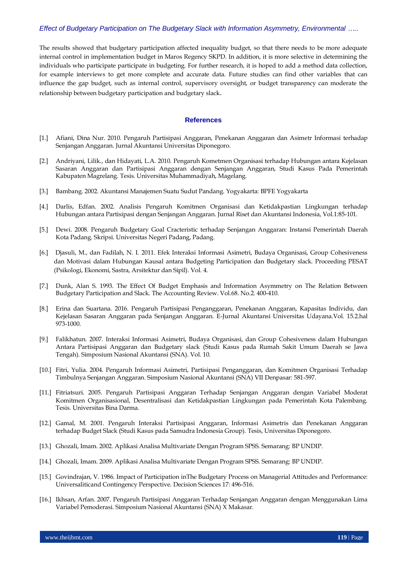The results showed that budgetary participation affected inequality budget, so that there needs to be more adequate internal control in implementation budget in Maros Regency SKPD. In addition, it is more selective in determining the individuals who participate participate in budgeting. For further research, it is hoped to add a method data collection, for example interviews to get more complete and accurate data. Future studies can find other variables that can influence the gap budget, such as internal control, supervisory oversight, or budget transparency can moderate the relationship between budgetary participation and budgetary slack.

#### **References**

- [1.] Afiani, Dina Nur. 2010. Pengaruh Partisipasi Anggaran, Penekanan Anggaran dan Asimetr Informasi terhadap Senjangan Anggaran. Jurnal Akuntansi Universitas Diponegoro.
- [2.] Andriyani, Lilik., dan Hidayati, L.A. 2010. Pengaruh Kometmen Organisasi terhadap Hubungan antara Kejelasan Sasaran Anggaran dan Partisipasi Anggaran dengan Senjangan Anggaran, Studi Kasus Pada Pemerintah Kabupaten Magrelang. Tesis. Universitas Muhammadiyah, Magelang.
- [3.] Bambang. 2002. Akuntansi Manajemen Suatu Sudut Pandang. Yogyakarta: BPFE Yogyakarta
- [4.] Darlis, Edfan. 2002. Analisis Pengaruh Komitmen Organisasi dan Ketidakpastian Lingkungan terhadap Hubungan antara Partisipasi dengan Senjangan Anggaran. Jurnal Riset dan Akuntansi Indonesia, Vol.1:85-101.
- [5.] Dewi. 2008. Pengaruh Budgetary Goal Cracteristic terhadap Senjangan Anggaran: Instansi Pemerintah Daerah Kota Padang. Skripsi. Universitas Negeri Padang, Padang.
- [6.] Djasuli, M., dan Fadilah, N. I. 2011. Efek Interaksi Informasi Asimetri, Budaya Organisasi, Group Cohesiveness dan Motivasi dalam Hubungan Kausal antara Budgeting Participation dan Budgetary slack. Proceeding PESAT (Psikologi, Ekonomi, Sastra, Arsitektur dan Sipil). Vol. 4.
- [7.] Dunk, Alan S. 1993. The Effect Of Budget Emphasis and Information Asymmetry on The Relation Between Budgetary Participation and Slack. The Accounting Review. Vol.68. No.2. 400-410.
- [8.] Erina dan Suartana. 2016. Pengaruh Partisipasi Penganggaran, Penekanan Anggaran, Kapasitas Individu, dan Kejelasan Sasaran Anggaran pada Senjangan Anggaran. E-Jurnal Akuntansi Universitas Udayana.Vol. 15.2.hal 973-1000.
- [9.] Falikhatun. 2007. Interaksi Informasi Asimetri, Budaya Organisasi, dan Group Cohesiveness dalam Hubungan Antara Partisipasi Anggaran dan Budgetary slack (Studi Kasus pada Rumah Sakit Umum Daerah se Jawa Tengah). Simposium Nasional Akuntansi (SNA). Vol. 10.
- [10.] Fitri, Yulia. 2004. Pengaruh Informasi Asimetri, Partisipasi Penganggaran, dan Komitmen Organisasi Terhadap Timbulnya Senjangan Anggaran. Simposium Nasional Akuntansi (SNA) VII Denpasar: 581-597.
- [11.] Fitriatsuri. 2005. Pengaruh Partisipasi Anggaran Terhadap Senjangan Anggaran dengan Variabel Moderat Komitmen Organisasional, Desentralisasi dan Ketidakpastian Lingkungan pada Pemerintah Kota Palembang. Tesis. Universitas Bina Darma.
- [12.] Gamal, M. 2001. Pengaruh Interaksi Partisipasi Anggaran, Informasi Asimetris dan Penekanan Anggaran terhadap Budget Slack (Studi Kasus pada Samudra Indonesia Group). Tesis, Universitas Diponegoro.
- [13.] Ghozali, Imam. 2002. Aplikasi Analisa Multivariate Dengan Program SPSS. Semarang: BP UNDIP.
- [14.] Ghozali, Imam. 2009. Aplikasi Analisa Multivariate Dengan Program SPSS. Semarang: BP UNDIP.
- [15.] Govindrajan, V. 1986. Impact of Participation inThe Budgetary Process on Managerial Attitudes and Performance: Universaliticand Contingency Perspective. Decision Sciences 17: 496-516.
- [16.] Ikhsan, Arfan. 2007. Pengaruh Partisipasi Anggaran Terhadap Senjangan Anggaran dengan Menggunakan Lima Variabel Pemoderasi. Simposium Nasional Akuntansi (SNA) X Makasar.